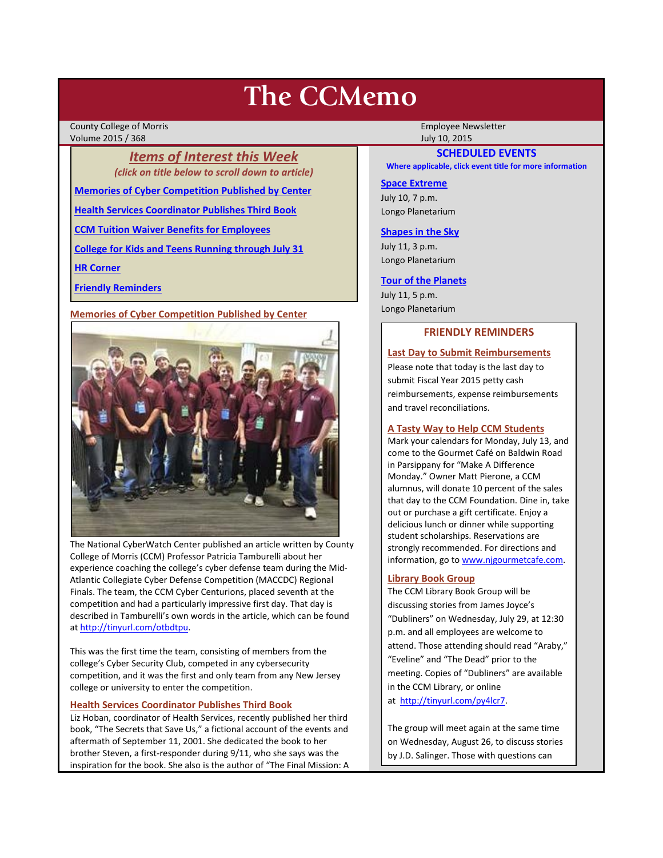# **The CCMemo**

County College of Morris Employee Newsletter Volume 2015 / 368 July 10, 2015

> *Items of Interest this Week (click on title below to scroll down to article)*

**[Memories of Cyber Competition Published by Center](#page-0-0)**

**[Health Services Coordinator Publishes Third Book](#page-0-1)**

**[CCM Tuition Waiver Benefits for Employees](#page-1-0)**

**[College for Kids and Teens Running through July 31](#page-1-1)**

**[HR Corner](#page-1-2)**

**[Friendly Reminders](#page-0-2)**

<span id="page-0-0"></span>**Memories of Cyber Competition Published by Center**



The National CyberWatch Center published an article written by County College of Morris (CCM) Professor Patricia Tamburelli about her experience coaching the college's cyber defense team during the Mid-Atlantic Collegiate Cyber Defense Competition (MACCDC) Regional Finals. The team, the CCM Cyber Centurions, placed seventh at the competition and had a particularly impressive first day. That day is described in Tamburelli's own words in the article, which can be found a[t http://tinyurl.com/otbdtpu.](http://tinyurl.com/otbdtpu)

This was the first time the team, consisting of members from the college's Cyber Security Club, competed in any cybersecurity competition, and it was the first and only team from any New Jersey college or university to enter the competition.

# <span id="page-0-1"></span>**Health Services Coordinator Publishes Third Book**

Liz Hoban, coordinator of Health Services, recently published her third book, "The Secrets that Save Us," a fictional account of the events and aftermath of September 11, 2001. She dedicated the book to her brother Steven, a first-responder during 9/11, who she says was the inspiration for the book. She also is the author of "The Final Mission: A

# **SCHEDULED EVENTS**

**Where applicable, click event title for more information**

## **[Space Extreme](http://www.ccm.edu/newsEvents/eventDetails.aspx?Channel=/Channels/Sitewide&WorkflowItemID=1874a4b0-0bcb-4ed1-a29e-7b4f8d25e45d)**

July 10, 7 p.m. Longo Planetarium

#### **[Shapes in the Sky](http://www.ccm.edu/newsEvents/eventDetails.aspx?Channel=/Channels/Sitewide&WorkflowItemID=1922c928-86d3-4e75-b6a2-fd618033989c)**

July 11, 3 p.m. Longo Planetarium

#### **[Tour of the Planets](http://www.ccm.edu/newsEvents/eventDetails.aspx?Channel=/Channels/Sitewide&WorkflowItemID=5834aa20-68ba-4fa2-a3ac-75b2311ba441)**

July 11, 5 p.m. Longo Planetarium

## **FRIENDLY REMINDERS**

## <span id="page-0-2"></span>**Last Day to Submit Reimbursements**

Please note that today is the last day to submit Fiscal Year 2015 petty cash reimbursements, expense reimbursements and travel reconciliations.

#### **A Tasty Way to Help CCM Students**

Mark your calendars for Monday, July 13, and come to the Gourmet Café on Baldwin Road in Parsippany for "Make A Difference Monday." Owner Matt Pierone, a CCM alumnus, will donate 10 percent of the sales that day to the CCM Foundation. Dine in, take out or purchase a gift certificate. Enjoy a delicious lunch or dinner while supporting student scholarships. Reservations are strongly recommended. For directions and information, go to [www.njgourmetcafe.com.](http://www.njgourmetcafe.com/)

#### **Library Book Group**

The CCM Library Book Group will be discussing stories from James Joyce's "Dubliners" on Wednesday, July 29, at 12:30 p.m. and all employees are welcome to attend. Those attending should read "Araby," "Eveline" and "The Dead" prior to the meeting. Copies of "Dubliners" are available in the CCM Library, or online at [http://tinyurl.com/py4lcr7.](http://tinyurl.com/py4lcr7)

The group will meet again at the same time on Wednesday, August 26, to discuss stories by J.D. Salinger. Those with questions can